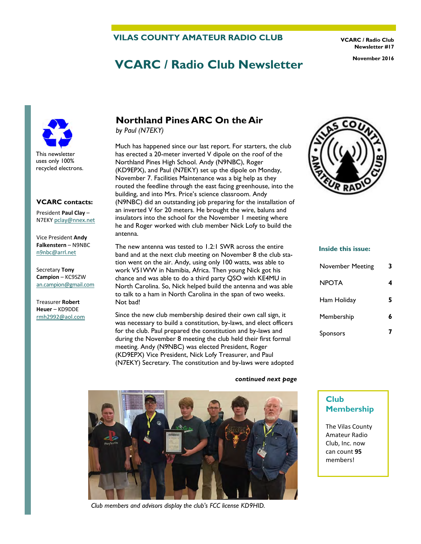#### **VILAS COUNTY AMATEUR RADIO CLUB**

**VCARC / Radio Club Newsletter #17** 

# **VCARC / Radio Club Newsletter November 2016**



#### **VCARC contacts:**

President **Paul Clay** – N7EKY [pclay@nnex.net](mailto:pclay@nnex.net)

Vice President **Andy Falkenstern** – N9NBC [n9nbc@arrl.net](mailto:n9nbc@arrl.net)

Secretary **Tony Campion** – KC9SZW [an.campion@gmail.com](mailto:an.campion@gmail.com)

Treasurer **Robert Heuer** – KD9DDE rmh2992@aol.com

## **Northland Pines ARC On the Air**

*by Paul (N7EKY)*

Much has happened since our last report. For starters, the club has erected a 20-meter inverted V dipole on the roof of the Northland Pines High School. Andy (N9NBC), Roger (KD9EPX), and Paul (N7EKY) set up the dipole on Monday, November 7. Facilities Maintenance was a big help as they routed the feedline through the east facing greenhouse, into the building, and into Mrs. Price's science classroom. Andy (N9NBC) did an outstanding job preparing for the installation of an inverted V for 20 meters. He brought the wire, baluns and insulators into the school for the November 1 meeting where he and Roger worked with club member Nick Lofy to build the antenna.

The new antenna was tested to 1.2:1 SWR across the entire band and at the next club meeting on November 8 the club station went on the air. Andy, using only 100 watts, was able to work V51WW in Namibia, Africa. Then young Nick got his chance and was able to do a third party QSO with KE4MU in North Carolina. So, Nick helped build the antenna and was able to talk to a ham in North Carolina in the span of two weeks. Not bad!

Since the new club membership desired their own call sign, it was necessary to build a constitution, by-laws, and elect officers for the club. Paul prepared the constitution and by-laws and during the November 8 meeting the club held their first formal meeting. Andy (N9NBC) was elected President, Roger (KD9EPX) Vice President, Nick Lofy Treasurer, and Paul (N7EKY) Secretary. The constitution and by-laws were adopted



#### **Inside this issue:**

| <b>November Meeting</b> | 3 |
|-------------------------|---|
| <b>NPOTA</b>            |   |
| Ham Holiday             | 5 |
| Membership              | 6 |
| Sponsors                |   |

#### *continued next page*



*Club members and advisors display the club's FCC license KD9HID.* 

# **Club**

**Membership** 

The Vilas County Amateur Radio Club, Inc. now can count **95** members!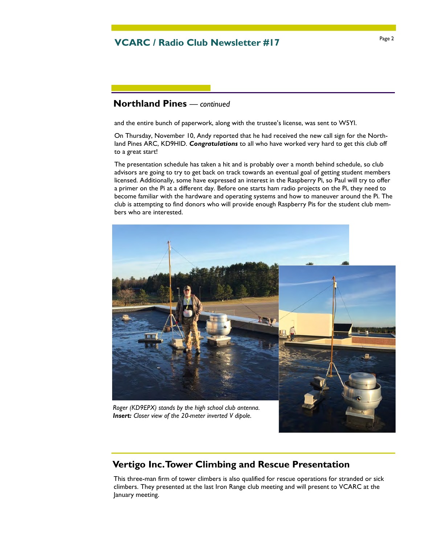## Page 2 **VCARC / Radio Club Newsletter #17**

## **Northland Pines** *— continued*

and the entire bunch of paperwork, along with the trustee's license, was sent to W5YI.

On Thursday, November 10, Andy reported that he had received the new call sign for the Northland Pines ARC, KD9HID. *Congratulations* to all who have worked very hard to get this club off to a great start!

The presentation schedule has taken a hit and is probably over a month behind schedule, so club advisors are going to try to get back on track towards an eventual goal of getting student members licensed. Additionally, some have expressed an interest in the Raspberry Pi, so Paul will try to offer a primer on the Pi at a different day. Before one starts ham radio projects on the Pi, they need to become familiar with the hardware and operating systems and how to maneuver around the Pi. The club is attempting to find donors who will provide enough Raspberry Pis for the student club members who are interested.



*Insert: Closer view of the 20-meter inverted V dipole.* 

### **Vertigo Inc. Tower Climbing and Rescue Presentation**

This three-man firm of tower climbers is also qualified for rescue operations for stranded or sick climbers. They presented at the last Iron Range club meeting and will present to VCARC at the January meeting.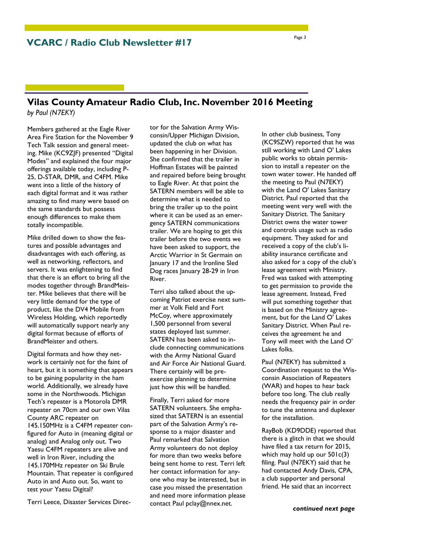#### **Vilas County Amateur Radio Club, Inc. November 2016 Meeting**  *by Paul (N7EKY)*

Members gathered at the Eagle River Area Fire Station for the November 9 Tech Talk session and general meeting. Mike (KC9ZJF) presented "Digital Modes" and explained the four major offerings available today, including P-25, D-STAR, DMR, and C4FM. Mike went into a little of the history of each digital format and it was rather amazing to find many were based on the same standards but possess enough differences to make them totally incompatible.

Mike drilled down to show the features and possible advantages and disadvantages with each offering, as well as networking, reflectors, and servers. It was enlightening to find that there is an effort to bring all the modes together through BrandMeister. Mike believes that there will be very little demand for the type of product, like the DV4 Mobile from Wireless Holding, which reportedly will automatically support nearly any digital format because of efforts of BrandMeister and others.

Digital formats and how they network is certainly not for the faint of heart, but it is something that appears to be gaining popularity in the ham world. Additionally, we already have some in the Northwoods. Michigan Tech's repeater is a Motorola DMR repeater on 70cm and our own Vilas County ARC repeater on 145.150MHz is a C4FM repeater configured for Auto in (meaning digital or analog) and Analog only out. Two Yaesu C4FM repeaters are alive and well in Iron River, including the 145.170MHz repeater on Ski Brule Mountain. That repeater is configured Auto in and Auto out. So, want to test your Yaesu Digital?

Terri Leece, Disaster Services Direc-

tor for the Salvation Army Wisconsin/Upper Michigan Division, updated the club on what has been happening in her Division. She confirmed that the trailer in Hoffman Estates will be painted and repaired before being brought to Eagle River. At that point the SATERN members will be able to determine what is needed to bring the trailer up to the point where it can be used as an emergency SATERN communications trailer. We are hoping to get this trailer before the two events we have been asked to support, the Arctic Warrior in St Germain on January 17 and the Ironline Sled Dog races January 28-29 in Iron River.

Terri also talked about the upcoming Patriot exercise next summer at Volk Field and Fort McCoy, where approximately 1,500 personnel from several states deployed last summer. SATERN has been asked to include connecting communications with the Army National Guard and Air Force Air National Guard. There certainly will be preexercise planning to determine just how this will be handled.

Finally, Terri asked for more SATERN volunteers. She emphasized that SATERN is an essential part of the Salvation Army's response to a major disaster and Paul remarked that Salvation Army volunteers do not deploy for more than two weeks before being sent home to rest. Terri left her contact information for anyone who may be interested, but in case you missed the presentation and need more information please contact Paul pclay@nnex.net.

In other club business, Tony (KC9SZW) reported that he was still working with Land O' Lakes public works to obtain permission to install a repeater on the town water tower. He handed off the meeting to Paul (N7EKY) with the Land O' Lakes Sanitary District. Paul reported that the meeting went very well with the Sanitary District. The Sanitary District owns the water tower and controls usage such as radio equipment. They asked for and received a copy of the club's liability insurance certificate and also asked for a copy of the club's lease agreement with Ministry. Fred was tasked with attempting to get permission to provide the lease agreement. Instead, Fred will put something together that is based on the Ministry agreement, but for the Land O' Lakes Sanitary District. When Paul receives the agreement he and Tony will meet with the Land O' Lakes folks.

Paul (N7EKY) has submitted a Coordination request to the Wisconsin Association of Repeaters (WAR) and hopes to hear back before too long. The club really needs the frequency pair in order to tune the antenna and duplexer for the installation.

RayBob (KD9DDE) reported that there is a glitch in that we should have filed a tax return for 2015, which may hold up our 501c(3) filing. Paul (N7EKY) said that he had contacted Andy Davis, CPA, a club supporter and personal friend. He said that an incorrect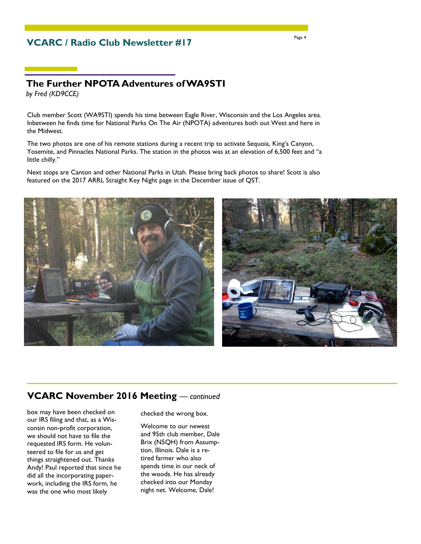## **VCARC / Radio Club Newsletter #17**

## **The Further NPOTA Adventures of WA9STI**

*by Fred (KD9CCE)*

Club member Scott (WA9STI) spends his time between Eagle River, Wisconsin and the Los Angeles area. Inbetween he finds time for National Parks On The Air (NPOTA) adventures both out West and here in the Midwest.

The two photos are one of his remote stations during a recent trip to activate Sequoia, King's Canyon, Yosemite, and Pinnacles National Parks. The station in the photos was at an elevation of 6,500 feet and "a little chilly."

Next stops are Canton and other National Parks in Utah. Please bring back photos to share! Scott is also featured on the 2017 ARRL Straight Key Night page in the December issue of QST.





#### **VCARC November 2016 Meeting** *— continued*

box may have been checked on our IRS filing and that, as a Wisconsin non-profit corporation, we should not have to file the requested IRS form. He volunteered to file for us and get things straightened out. Thanks Andy! Paul reported that since he did all the incorporating paperwork, including the IRS form, he was the one who most likely

checked the wrong box.

Welcome to our newest and 95th club member, Dale Brix (N5QH) from Assumption, Illinois. Dale is a retired farmer who also spends time in our neck of the woods. He has already checked into our Monday night net. Welcome, Dale!

Page 4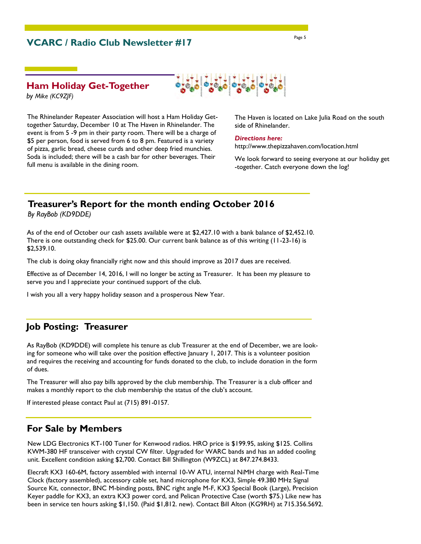## **VCARC / Radio Club Newsletter #17**

#### **Ham Holiday Get-Together**

*by Mike (KC9ZJF)*

The Rhinelander Repeater Association will host a Ham Holiday Gettogether Saturday, December 10 at The Haven in Rhinelander. The event is from 5 -9 pm in their party room. There will be a charge of \$5 per person, food is served from 6 to 8 pm. Featured is a variety of pizza, garlic bread, cheese curds and other deep fried munchies. Soda is included; there will be a cash bar for other beverages. Their full menu is available in the dining room.

The Haven is located on Lake Julia Road on the south side of Rhinelander.

#### *Directions here:*

http://www.thepizzahaven.com/location.html

We look forward to seeing everyone at our holiday get -together. Catch everyone down the log!

### **Treasurer's Report for the month ending October 2016**

*By RayBob (KD9DDE)*

As of the end of October our cash assets available were at \$2,427.10 with a bank balance of \$2,452.10. There is one outstanding check for \$25.00. Our current bank balance as of this writing (11-23-16) is \$2,539.10.

The club is doing okay financially right now and this should improve as 2017 dues are received.

Effective as of December 14, 2016, I will no longer be acting as Treasurer. It has been my pleasure to serve you and I appreciate your continued support of the club.

I wish you all a very happy holiday season and a prosperous New Year.

#### **Job Posting: Treasurer**

As RayBob (KD9DDE) will complete his tenure as club Treasurer at the end of December, we are looking for someone who will take over the position effective January 1, 2017. This is a volunteer position and requires the receiving and accounting for funds donated to the club, to include donation in the form of dues.

The Treasurer will also pay bills approved by the club membership. The Treasurer is a club officer and makes a monthly report to the club membership the status of the club's account.

If interested please contact Paul at (715) 891-0157.

#### **For Sale by Members**

New LDG Electronics KT-100 Tuner for Kenwood radios. HRO price is \$199.95, asking \$125. Collins KWM-380 HF transceiver with crystal CW filter. Upgraded for WARC bands and has an added cooling unit. Excellent condition asking \$2,700. Contact Bill Shillington (W9ZCL) at 847.274.8433.

Elecraft KX3 160-6M, factory assembled with internal 10-W ATU, internal NiMH charge with Real-Time Clock (factory assembled), accessory cable set, hand microphone for KX3, Simple 49.380 MHz Signal Source Kit, connector, BNC M-binding posts, BNC right angle M-F, KX3 Special Book (Large), Precision Keyer paddle for KX3, an extra KX3 power cord, and Pelican Protective Case (worth \$75.) Like new has been in service ten hours asking \$1,150. (Paid \$1,812. new). Contact Bill Alton (KG9RH) at 715.356.5692.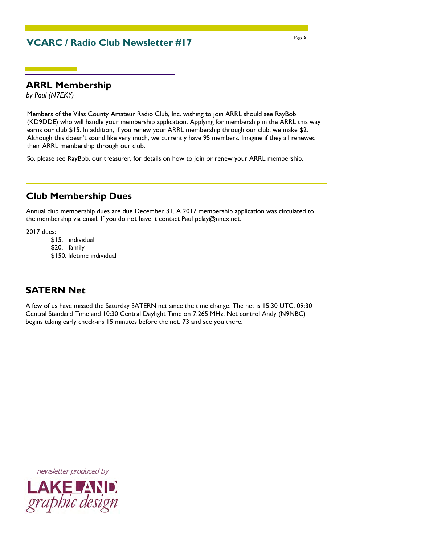## **VCARC / Radio Club Newsletter #17**

#### **ARRL Membership**

*by Paul (N7EKY)*

Members of the Vilas County Amateur Radio Club, Inc. wishing to join ARRL should see RayBob (KD9DDE) who will handle your membership application. Applying for membership in the ARRL this way earns our club \$15. In addition, if you renew your ARRL membership through our club, we make \$2. Although this doesn't sound like very much, we currently have 95 members. Imagine if they all renewed their ARRL membership through our club.

So, please see RayBob, our treasurer, for details on how to join or renew your ARRL membership.

## **Club Membership Dues**

Annual club membership dues are due December 31. A 2017 membership application was circulated to the membership via email. If you do not have it contact Paul pclay@nnex.net.

2017 dues:

- \$15. individual
- \$20. family
- \$150. lifetime individual

## **SATERN Net**

A few of us have missed the Saturday SATERN net since the time change. The net is 15:30 UTC, 09:30 Central Standard Time and 10:30 Central Daylight Time on 7.265 MHz. Net control Andy (N9NBC) begins taking early check-ins 15 minutes before the net. 73 and see you there.